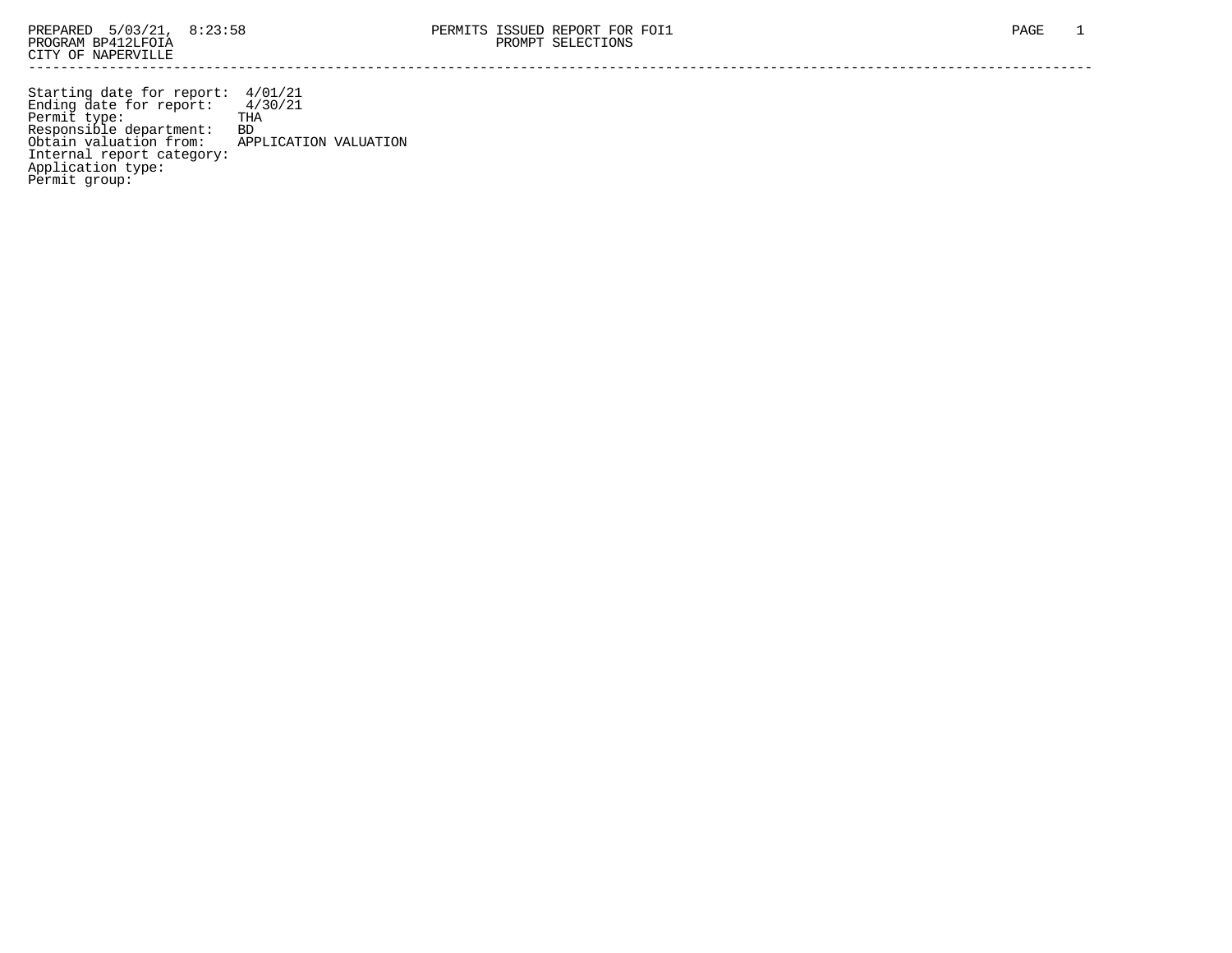Starting date for report: 4/01/21 Ending date for report: 4/30/21 Permit type: THA Responsible department: BD Obtain valuation from: APPLICATION VALUATION Internal report category: Application type: Permit group: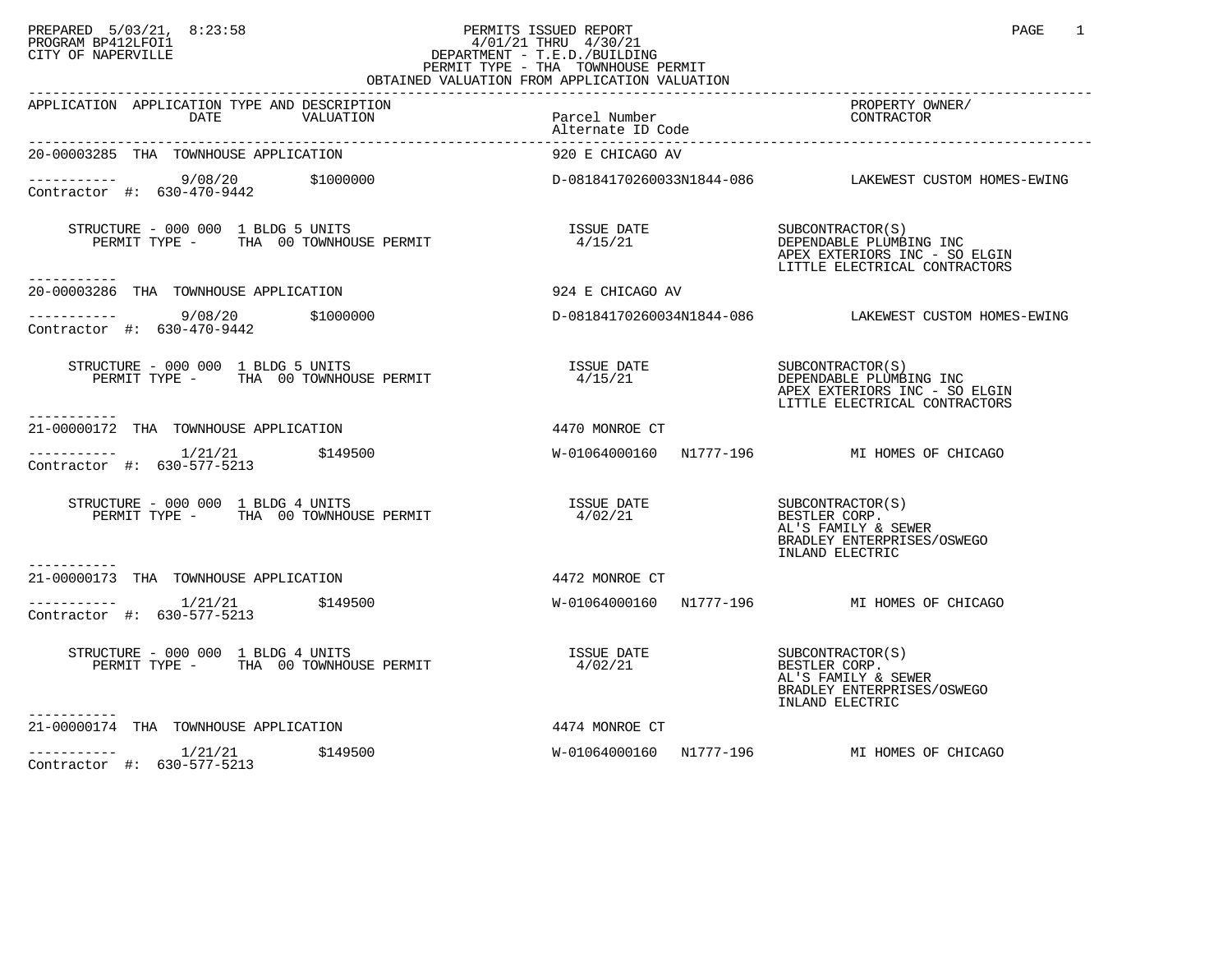## PREPARED 5/03/21, 8:23:58 PERMITS ISSUED REPORT<br>PROGRAM BP412LFOI1 PAGE 1 PROGRAM BP412LFOI1 4/01/21 THRU 4/30/21 CITY OF NAPERVILLE **Example 20** CITY OF NAPERVILLE PERMIT TYPE - THA TOWNHOUSE PERMIT OBTAINED VALUATION FROM APPLICATION VALUATION

| APPLICATION APPLICATION TYPE AND DESCRIPTION<br>DATE<br>VALUATION                                                                                                                                                                                                                                            | Parcel Number<br>Alternate ID Code | PROPERTY OWNER/<br>CONTRACTOR                                                                                 |
|--------------------------------------------------------------------------------------------------------------------------------------------------------------------------------------------------------------------------------------------------------------------------------------------------------------|------------------------------------|---------------------------------------------------------------------------------------------------------------|
| 20-00003285 THA TOWNHOUSE APPLICATION                                                                                                                                                                                                                                                                        | 920 E CHICAGO AV                   |                                                                                                               |
| $      9/08/20$ \$1000000<br>Contractor #: 630-470-9442                                                                                                                                                                                                                                                      |                                    |                                                                                                               |
| STRUCTURE - 000 000 1 BLDG 5 UNITS<br>PERMIT TYPE - THA 00 TOWNHOUSE PERMIT<br>-----------                                                                                                                                                                                                                   | ISSUE DATE<br>4/15/21              | SUBCONTRACTOR(S)<br>DEPENDABLE PLUMBING INC<br>APEX EXTERIORS INC - SO ELGIN<br>LITTLE ELECTRICAL CONTRACTORS |
| 20-00003286 THA TOWNHOUSE APPLICATION                                                                                                                                                                                                                                                                        | 924 E CHICAGO AV                   |                                                                                                               |
| $\frac{9}{08/20}$ \$1000000 $\frac{1}{20}$ x + 000000 $\frac{1}{20}$ + 0.000 $\frac{20}{20}$ + 0.000 $\frac{1}{20}$ + 0.000 $\frac{1}{20}$ + 0.000 $\frac{1}{20}$ + 0.000 $\frac{1}{20}$ + 0.000 $\frac{1}{20}$ + 0.000 $\frac{1}{20}$ + 0.000 $\frac{1}{20}$ + 0.000 $\frac{$<br>Contractor #: 630-470-9442 |                                    | D-08184170260034N1844-086 LAKEWEST CUSTOM HOMES-EWING                                                         |
| STRUCTURE - 000 000 1 BLDG 5 UNITS<br>PERMIT TYPE - THA 00 TOWNHOUSE PERMIT<br>------------                                                                                                                                                                                                                  | ISSUE DATE<br>4/15/21              | SUBCONTRACTOR(S)<br>DEPENDABLE PLUMBING INC<br>APEX EXTERIORS INC - SO ELGIN<br>LITTLE ELECTRICAL CONTRACTORS |
| 21-00000172 THA TOWNHOUSE APPLICATION                                                                                                                                                                                                                                                                        | 4470 MONROE CT                     |                                                                                                               |
| $------$ 1/21/21 \$149500<br>Contractor #: 630-577-5213                                                                                                                                                                                                                                                      |                                    | W-01064000160 N1777-196 MI HOMES OF CHICAGO                                                                   |
| STRUCTURE - 000 000 1 BLDG 4 UNITS<br>PERMIT TYPE - THA 00 TOWNHOUSE PERMIT                                                                                                                                                                                                                                  | ISSUE DATE<br>4/02/21              | SUBCONTRACTOR(S)<br>BESTLER CORP.<br>AL'S FAMILY & SEWER<br>BRADLEY ENTERPRISES/OSWEGO<br>INLAND ELECTRIC     |
| ----------<br>21-00000173 THA TOWNHOUSE APPLICATION                                                                                                                                                                                                                                                          | 4472 MONROE CT                     |                                                                                                               |
| $--------- 1/21/21$ \$149500<br>Contractor #: 630-577-5213                                                                                                                                                                                                                                                   |                                    | W-01064000160 N1777-196 MI HOMES OF CHICAGO                                                                   |
| STRUCTURE - 000 000 1 BLDG 4 UNITS<br>PERMIT TYPE - THA 00 TOWNHOUSE PERMIT                                                                                                                                                                                                                                  | <b>ISSUE DATE</b><br>4/02/21       | SUBCONTRACTOR(S)<br>BESTLER CORP.<br>AL'S FAMILY & SEWER<br>BRADLEY ENTERPRISES/OSWEGO<br>INLAND ELECTRIC     |
| 21-00000174 THA TOWNHOUSE APPLICATION                                                                                                                                                                                                                                                                        | 4474 MONROE CT                     |                                                                                                               |
| $--------- 1/21/21$ \$149500<br>Contractor #: 630-577-5213                                                                                                                                                                                                                                                   |                                    | W-01064000160 N1777-196 MI HOMES OF CHICAGO                                                                   |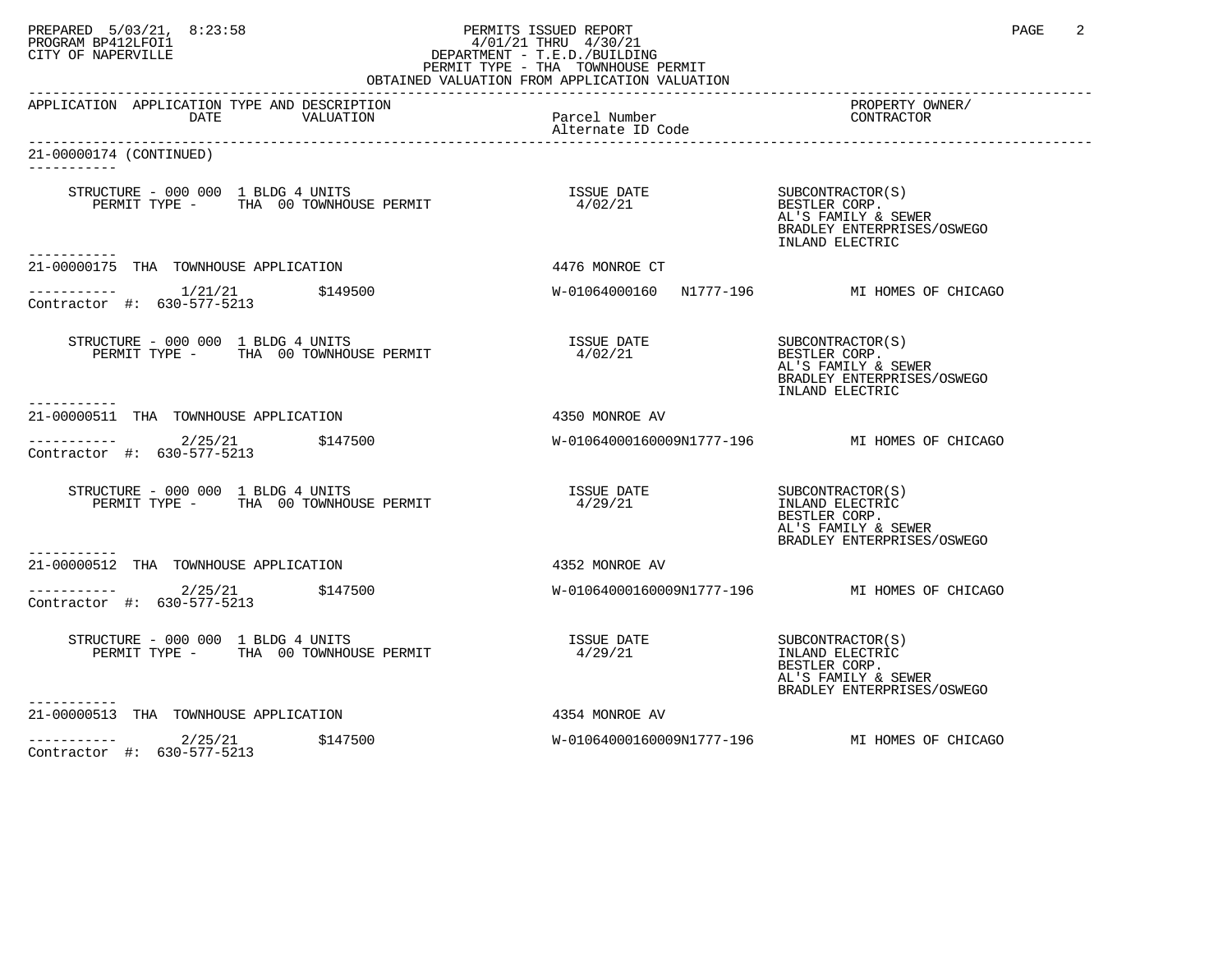## PREPARED 5/03/21, 8:23:58 PERMITS ISSUED REPORT<br>PROGRAM BP412LFOI1 PAGE 2 PROGRAM BP412LFOI1 4/01/21 THRU 4/30/21 CITY OF NAPERVILLE **Example 20** CITY OF NAPERVILLE PERMIT TYPE - THA TOWNHOUSE PERMIT

| OBTAINED VALUATION FROM APPLICATION VALUATION                               |                                                                           |                                                                                                           |  |  |
|-----------------------------------------------------------------------------|---------------------------------------------------------------------------|-----------------------------------------------------------------------------------------------------------|--|--|
| APPLICATION APPLICATION TYPE AND DESCRIPTION<br>DATE<br>VALUATION           | Parcel Number<br>Alternate ID Code                                        | PROPERTY OWNER/<br>CONTRACTOR                                                                             |  |  |
| 21-00000174 (CONTINUED)                                                     |                                                                           |                                                                                                           |  |  |
|                                                                             |                                                                           | AL'S FAMILY & SEWER<br>BRADLEY ENTERPRISES/OSWEGO<br>INLAND ELECTRIC                                      |  |  |
| 21-00000175 THA TOWNHOUSE APPLICATION                                       | 4476 MONROE CT                                                            |                                                                                                           |  |  |
| ----------- 1/21/21 \$149500<br>Contractor #: 630-577-5213                  |                                                                           | W-01064000160 N1777-196 MI HOMES OF CHICAGO                                                               |  |  |
| STRUCTURE - 000 000 1 BLDG 4 UNITS<br>PERMIT TYPE - THA 00 TOWNHOUSE PERMIT | ISSUE DATE<br>4/02/21                                                     | SUBCONTRACTOR(S)<br>BESTLER CORP.<br>AL'S FAMILY & SEWER<br>BRADLEY ENTERPRISES/OSWEGO<br>INLAND ELECTRIC |  |  |
| 21-00000511 THA TOWNHOUSE APPLICATION                                       | 4350 MONROE AV                                                            |                                                                                                           |  |  |
| $------ 2/25/21$ \$147500<br>Contractor #: 630-577-5213                     |                                                                           | W-01064000160009N1777-196 MI HOMES OF CHICAGO                                                             |  |  |
| STRUCTURE - 000 000 1 BLDG 4 UNITS<br>PERMIT TYPE - THA 00 TOWNHOUSE PERMIT | ISSUE DATE<br>4/29/21                                                     | SUBCONTRACTOR(S)<br>INLAND ELECTRIC<br>BESTLER CORP.<br>AL'S FAMILY & SEWER<br>BRADLEY ENTERPRISES/OSWEGO |  |  |
| ---------<br>21-00000512 THA TOWNHOUSE APPLICATION                          | 4352 MONROE AV                                                            |                                                                                                           |  |  |
| $---------2/25/21$ \$147500<br>Contractor #: 630-577-5213                   |                                                                           | W-01064000160009N1777-196 MI HOMES OF CHICAGO                                                             |  |  |
| STRUCTURE - 000 000 1 BLDG 4 UNITS<br>PERMIT TYPE - THA 00 TOWNHOUSE PERMIT | $\begin{array}{ll}\n \text{ISSUE} & \text{DATE} \\ 4/29/21 & \end{array}$ | SUBCONTRACTOR(S)<br>INLAND ELECTRIC<br>BESTLER CORP.<br>AL'S FAMILY & SEWER<br>BRADLEY ENTERPRISES/OSWEGO |  |  |
| 21-00000513 THA TOWNHOUSE APPLICATION                                       | 4354 MONROE AV                                                            |                                                                                                           |  |  |
| $--------$ 2/25/21<br>\$147500<br>Contractor #: 630-577-5213                |                                                                           | W-01064000160009N1777-196 MI HOMES OF CHICAGO                                                             |  |  |